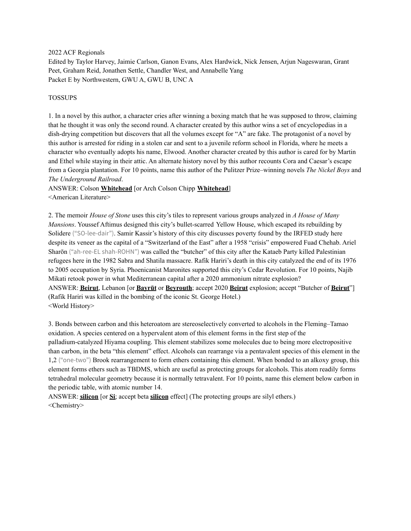2022 ACF Regionals

Edited by Taylor Harvey, Jaimie Carlson, Ganon Evans, Alex Hardwick, Nick Jensen, Arjun Nageswaran, Grant Peet, Graham Reid, Jonathen Settle, Chandler West, and Annabelle Yang Packet E by Northwestern, GWU A, GWU B, UNC A

#### TOSSUPS

1. In a novel by this author, a character cries after winning a boxing match that he was supposed to throw, claiming that he thought it was only the second round. A character created by this author wins a set of encyclopedias in a dish-drying competition but discovers that all the volumes except for "A" are fake. The protagonist of a novel by this author is arrested for riding in a stolen car and sent to a juvenile reform school in Florida, where he meets a character who eventually adopts his name, Elwood. Another character created by this author is cared for by Martin and Ethel while staying in their attic. An alternate history novel by this author recounts Cora and Caesar's escape from a Georgia plantation. For 10 points, name this author of the Pulitzer Prize–winning novels *The Nickel Boys* and *The Underground Railroad*.

ANSWER: Colson **Whitehead** [or Arch Colson Chipp **Whitehead**] <American Literature>

2. The memoir *House of Stone* uses this city's tiles to represent various groups analyzed in *A House of Many Mansions*. Youssef Aftimus designed this city's bullet-scarred Yellow House, which escaped its rebuilding by Solidere ("SO-lee-dair"). Samir Kassir's history of this city discusses poverty found by the IRFED study here despite its veneer as the capital of a "Switzerland of the East" after a 1958 "crisis" empowered Fuad Chehab. Ariel Sharōn ("ah-ree-EL shah-ROHN") was called the "butcher" of this city after the Kataeb Party killed Palestinian refugees here in the 1982 Sabra and Shatila massacre. Rafik Hariri's death in this city catalyzed the end of its 1976 to 2005 occupation by Syria. Phoenicanist Maronites supported this city's Cedar Revolution. For 10 points, Najib Mikati retook power in what Mediterranean capital after a 2020 ammonium nitrate explosion? ANSWER: **Beirut**, Lebanon [or **Bayrūt** or **Beyrouth**; accept 2020 **Beirut** explosion; accept "Butcher of **Beirut**"] (Rafik Hariri was killed in the bombing of the iconic St. George Hotel.) <World History>

3. Bonds between carbon and this heteroatom are stereoselectively converted to alcohols in the Fleming–Tamao oxidation. A species centered on a hypervalent atom of this element forms in the first step of the palladium-catalyzed Hiyama coupling. This element stabilizes some molecules due to being more electropositive than carbon, in the beta "this element" effect. Alcohols can rearrange via a pentavalent species of this element in the 1,2 ("one-two") Brook rearrangement to form ethers containing this element. When bonded to an alkoxy group, this element forms ethers such as TBDMS, which are useful as protecting groups for alcohols. This atom readily forms tetrahedral molecular geometry because it is normally tetravalent. For 10 points, name this element below carbon in the periodic table, with atomic number 14.

ANSWER: **silicon** [or **Si**; accept beta **silicon** effect] (The protecting groups are silyl ethers.) <Chemistry>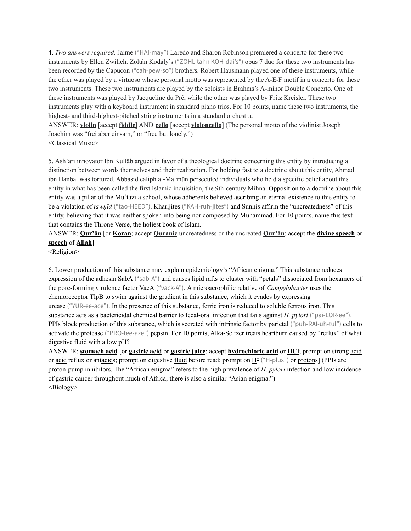4. *Two answers required.* Jaime ("HAI-may") Laredo and Sharon Robinson premiered a concerto for these two instruments by Ellen Zwilich. Zoltán Kodály's ("ZOHL-tahn KOH-dai's") opus 7 duo for these two instruments has been recorded by the Capuçon ("cah-pew-so") brothers. Robert Hausmann played one of these instruments, while the other was played by a virtuoso whose personal motto was represented by the A-E-F motif in a concerto for these two instruments. These two instruments are played by the soloists in Brahms's A-minor Double Concerto. One of these instruments was played by Jacqueline du Pré, while the other was played by Fritz Kreisler. These two instruments play with a keyboard instrument in standard piano trios. For 10 points, name these two instruments, the highest- and third-highest-pitched string instruments in a standard orchestra.

ANSWER: **violin** [accept **fiddle**] AND **cello** [accept **violoncello**] (The personal motto of the violinist Joseph Joachim was "frei aber einsam," or "free but lonely.")

<Classical Music>

5. Ash'ari innovator Ibn Kullāb argued in favor of a theological doctrine concerning this entity by introducing a distinction between words themselves and their realization. For holding fast to a doctrine about this entity, Ahmad ibn Hanbal was tortured. Abbasid caliph al-Maʾmūn persecuted individuals who held a specific belief about this entity in what has been called the first Islamic inquisition, the 9th-century Mihna. Opposition to a doctrine about this entity was a pillar of the Mu**ʿ**tazila school, whose adherents believed ascribing an eternal existence to this entity to be a violation of *tawḥīd* ("tao-HEED"). Kharijites ("KAH-ruh-jites") and Sunnis affirm the "uncreatedness" of this entity, believing that it was neither spoken into being nor composed by Muhammad. For 10 points, name this text that contains the Throne Verse, the holiest book of Islam.

ANSWER: **Qur'ān** [or **Koran**; accept **Quranic** uncreatedness or the uncreated **Qur'ān**; accept the **divine speech** or **speech** of **Allah**]

<Religion>

6. Lower production of this substance may explain epidemiology's "African enigma." This substance reduces expression of the adhesin SabA ("sab-A") and causes lipid rafts to cluster with "petals" dissociated from hexamers of the pore-forming virulence factor VacA ("vack-A"). A microaerophilic relative of *Campylobacter* uses the chemoreceptor TlpB to swim against the gradient in this substance, which it evades by expressing urease ("YUR-ee-ace"). In the presence of this substance, ferric iron is reduced to soluble ferrous iron. This substance acts as a bactericidal chemical barrier to fecal-oral infection that fails against *H. pylori* ("pai-LOR-ee"). PPIs block production of this substance, which is secreted with intrinsic factor by parietal ("puh-RAI-uh-tul") cells to activate the protease ("PRO-tee-aze") pepsin. For 10 points, Alka-Seltzer treats heartburn caused by "reflux" of what digestive fluid with a low pH?

ANSWER: **stomach acid** [or **gastric acid** or **gastric juice**; accept **hydrochloric acid** or **HCl**; prompt on strong acid or acid reflux or antacids; prompt on digestive fluid before read; prompt on  $H^{\pm}$  ("H-plus") or protons] (PPIs are proton-pump inhibitors. The "African enigma" refers to the high prevalence of *H. pylori* infection and low incidence of gastric cancer throughout much of Africa; there is also a similar "Asian enigma.") <Biology>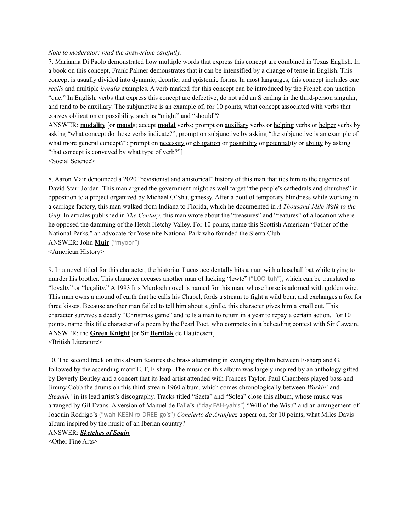#### *Note to moderator: read the answerline carefully.*

7. Marianna Di Paolo demonstrated how multiple words that express this concept are combined in Texas English. In a book on this concept, Frank Palmer demonstrates that it can be intensified by a change of tense in English. This concept is usually divided into dynamic, deontic, and epistemic forms. In most languages, this concept includes one *realis* and multiple *irrealis* examples. A verb marked for this concept can be introduced by the French conjunction "que." In English, verbs that express this concept are defective, do not add an S ending in the third-person singular, and tend to be auxiliary. The subjunctive is an example of, for 10 points, what concept associated with verbs that convey obligation or possibility, such as "might" and "should"?

ANSWER: **modality** [or **mood**s; accept **modal** verbs; prompt on auxiliary verbs or helping verbs or helper verbs by asking "what concept do those verbs indicate?"; prompt on subjunctive by asking "the subjunctive is an example of what more general concept?"; prompt on necessity or obligation or possibility or potentiality or ability by asking "that concept is conveyed by what type of verb?"]

<Social Science>

8. Aaron Mair denounced a 2020 "revisionist and ahistorical" history of this man that ties him to the eugenics of David Starr Jordan. This man argued the government might as well target "the people's cathedrals and churches" in opposition to a project organized by Michael O'Shaughnessy. After a bout of temporary blindness while working in a carriage factory, this man walked from Indiana to Florida, which he documented in *A Thousand-Mile Walk to the Gulf*. In articles published in *The Century*, this man wrote about the "treasures" and "features" of a location where he opposed the damming of the Hetch Hetchy Valley. For 10 points, name this Scottish American "Father of the National Parks," an advocate for Yosemite National Park who founded the Sierra Club. ANSWER: John **Muir** ("myoor")

<American History>

9. In a novel titled for this character, the historian Lucas accidentally hits a man with a baseball bat while trying to murder his brother. This character accuses another man of lacking "lewte" ("LOO-tuh"), which can be translated as "loyalty" or "legality." A 1993 Iris Murdoch novel is named for this man, whose horse is adorned with golden wire. This man owns a mound of earth that he calls his Chapel, fords a stream to fight a wild boar, and exchanges a fox for three kisses. Because another man failed to tell him about a girdle, this character gives him a small cut. This character survives a deadly "Christmas game" and tells a man to return in a year to repay a certain action. For 10 points, name this title character of a poem by the Pearl Poet, who competes in a beheading contest with Sir Gawain. ANSWER: the **Green Knight** [or Sir **Bertilak** de Hautdesert]

<British Literature>

10. The second track on this album features the brass alternating in swinging rhythm between F-sharp and G, followed by the ascending motif E, F, F-sharp. The music on this album was largely inspired by an anthology gifted by Beverly Bentley and a concert that its lead artist attended with Frances Taylor. Paul Chambers played bass and Jimmy Cobb the drums on this third-stream 1960 album, which comes chronologically between *Workin'* and *Steamin'* in its lead artist's discography. Tracks titled "Saeta" and "Solea" close this album, whose music was arranged by Gil Evans. A version of Manuel de Falla's ("day FAH-yah's") "Will o' the Wisp" and an arrangement of Joaquin Rodrigo's ("wah-KEEN ro-DREE-go's") *Concierto de Aranjuez* appear on, for 10 points, what Miles Davis album inspired by the music of an Iberian country?

ANSWER: *Sketches of Spain*

<Other Fine Arts>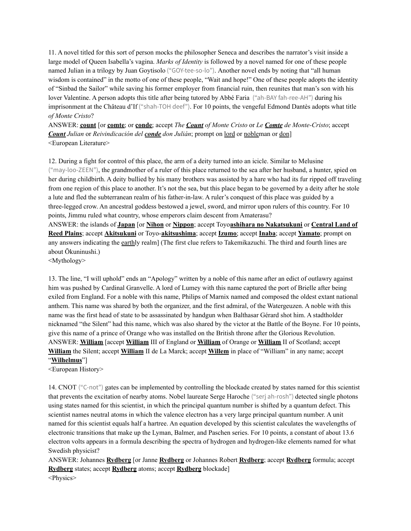11. A novel titled for this sort of person mocks the philosopher Seneca and describes the narrator's visit inside a large model of Queen Isabella's vagina. *Marks of Identity* is followed by a novel named for one of these people named Julian in a trilogy by Juan Goytisolo ("GOY-tee-so-lo"). Another novel ends by noting that "all human wisdom is contained" in the motto of one of these people, "Wait and hope!" One of these people adopts the identity of "Sinbad the Sailor" while saving his former employer from financial ruin, then reunites that man's son with his lover Valentine. A person adopts this title after being tutored by Abbé Faria ("ah-BAY fah-ree-AH") during his imprisonment at the Château d'If ("shah-TOH deef"). For 10 points, the vengeful Edmond Dantès adopts what title *of Monte Cristo*?

ANSWER: **count** [or **comte**; or **conde**; accept *The Count of Monte Cristo* or *Le Comte de Monte-Cristo*; accept *Count Julian* or *Reivindicación del conde don Julián*; prompt on lord or nobleman or don] <European Literature>

12. During a fight for control of this place, the arm of a deity turned into an icicle. Similar to Melusine ("may-loo-ZEEN"), the grandmother of a ruler of this place returned to the sea after her husband, a hunter, spied on her during childbirth. A deity bullied by his many brothers was assisted by a hare who had its fur ripped off traveling from one region of this place to another. It's not the sea, but this place began to be governed by a deity after he stole a lute and fled the subterranean realm of his father-in-law. A ruler's conquest of this place was guided by a three-legged crow. An ancestral goddess bestowed a jewel, sword, and mirror upon rulers of this country. For 10 points, Jimmu ruled what country, whose emperors claim descent from Amaterasu? ANSWER: the islands of **Japan** [or **Nihon** or **Nippon**; accept Toyo**ashihara no Nakatsukuni** or **Central Land of Reed Plains**; accept **Akitsukuni** or Toyo-**akitsushima**; accept **Izumo**; accept **Inaba**; accept **Yamato**; prompt on any answers indicating the earthly realm] (The first clue refers to Takemikazuchi. The third and fourth lines are about Ōkuninushi.)

<Mythology>

13. The line, "I will uphold" ends an "Apology" written by a noble of this name after an edict of outlawry against him was pushed by Cardinal Granvelle. A lord of Lumey with this name captured the port of Brielle after being exiled from England. For a noble with this name, Philips of Marnix named and composed the oldest extant national anthem. This name was shared by both the organizer, and the first admiral, of the Watergeuzen. A noble with this name was the first head of state to be assassinated by handgun when Balthasar Gérard shot him. A stadtholder nicknamed "the Silent" had this name, which was also shared by the victor at the Battle of the Boyne. For 10 points, give this name of a prince of Orange who was installed on the British throne after the Glorious Revolution. ANSWER: **William** [accept **William** III of England or **William** of Orange or **William** II of Scotland; accept **William** the Silent; accept **William** II de La Marck; accept **Willem** in place of "William" in any name; accept "**Wilhelmus**"]

<European History>

14. CNOT ("C-not") gates can be implemented by controlling the blockade created by states named for this scientist that prevents the excitation of nearby atoms. Nobel laureate Serge Haroche ("serj ah-rosh") detected single photons using states named for this scientist, in which the principal quantum number is shifted by a quantum defect. This scientist names neutral atoms in which the valence electron has a very large principal quantum number. A unit named for this scientist equals half a hartree. An equation developed by this scientist calculates the wavelengths of electronic transitions that make up the Lyman, Balmer, and Paschen series. For 10 points, a constant of about 13.6 electron volts appears in a formula describing the spectra of hydrogen and hydrogen-like elements named for what Swedish physicist?

ANSWER: Johannes **Rydberg** [or Janne **Rydberg** or Johannes Robert **Rydberg**; accept **Rydberg** formula; accept **Rydberg** states; accept **Rydberg** atoms; accept **Rydberg** blockade] <Physics>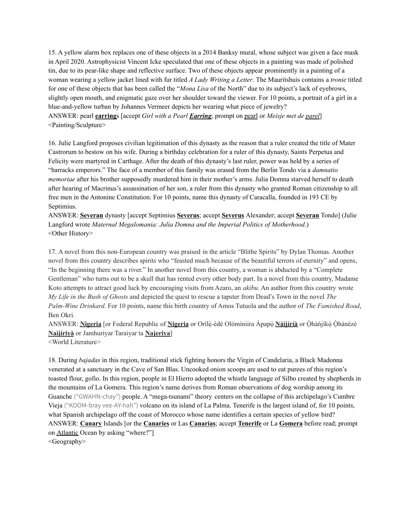15. A yellow alarm box replaces one of these objects in a 2014 Banksy mural, whose subject was given a face mask in April 2020. Astrophysicist Vincent Icke speculated that one of these objects in a painting was made of polished tin, due to its pear-like shape and reflective surface. Two of these objects appear prominently in a painting of a woman wearing a yellow jacket lined with fur titled *A Lady Writing a Letter*. The Mauritshuis contains a *tronie* titled for one of these objects that has been called the "*Mona Lisa* of the North" due to its subject's lack of eyebrows, slightly open mouth, and enigmatic gaze over her shoulder toward the viewer. For 10 points, a portrait of a girl in a blue-and-yellow turban by Johannes Vermeer depicts her wearing what piece of jewelry? ANSWER: pearl **earring**s [accept *Girl with a Pearl Earring*; prompt on pearl or *Meisje met de parel*] <Painting/Sculpture>

16. Julie Langford proposes civilian legitimation of this dynasty as the reason that a ruler created the title of Mater Castrorum to bestow on his wife. During a birthday celebration for a ruler of this dynasty, Saints Perpetua and Felicity were martyred in Carthage. After the death of this dynasty's last ruler, power was held by a series of "barracks emperors." The face of a member of this family was erased from the Berlin Tondo via a *damnatio memoriae* after his brother supposedly murdered him in their mother's arms. Julia Domna starved herself to death after hearing of Macrinus's assassination of her son, a ruler from this dynasty who granted Roman citizenship to all free men in the Antonine Constitution. For 10 points, name this dynasty of Caracalla, founded in 193 CE by Septimius.

ANSWER: **Severan** dynasty [accept Septimius **Severus**; accept **Severus** Alexander; accept **Severan** Tondo] (Julie Langford wrote *Maternal Megalomania: Julia Domna and the Imperial Politics of Motherhood*.) <Other History>

17. A novel from this non-European country was praised in the article "Blithe Spirits" by Dylan Thomas. Another novel from this country describes spirits who "feasted much because of the beautiful terrors of eternity" and opens, "In the beginning there was a river." In another novel from this country, a woman is abducted by a "Complete Gentleman" who turns out to be a skull that has rented every other body part. In a novel from this country, Madame Koto attempts to attract good luck by encouraging visits from Azaro, an *akibu*. An author from this country wrote *My Life in the Bush of Ghosts* and depicted the quest to rescue a tapster from Dead's Town in the novel *The Palm-Wine Drinkard*. For 10 points, name this birth country of Amos Tutuola and the author of *The Famished Road*, Ben Okri.

ANSWER: **Nigeria** [or Federal Republic of **Nigeria** or Orílẹ̀-èdè Olómìniira Àpapọ̀ **Nàìjíríà** or Ọ̀hàńjíkọ̀ Ọ̀hànézè **Naìjíríyà** or Jamhuriyar Taraiyar ta **Najeriya**]

<World Literature>

18. During *bajadas* in this region, traditional stick fighting honors the Virgin of Candelaria, a Black Madonna venerated at a sanctuary in the Cave of San Blas. Uncooked onion scoops are used to eat purees of this region's toasted flour, gofio. In this region, people in El Hierro adopted the whistle language of Silbo created by shepherds in the mountains of La Gomera. This region's name derives from Roman observations of dog worship among its Guanche ("GWAHN-chay") people. A "mega-tsunami" theory centers on the collapse of this archipelago's Cumbre Vieja ("KOOM-bray vee-AY-hah") volcano on its island of La Palma. Tenerife is the largest island of, for 10 points, what Spanish archipelago off the coast of Morocco whose name identifies a certain species of yellow bird? ANSWER: **Canary** Islands [or the **Canaries** or Las **Canarias**; accept **Tenerife** or La **Gomera** before read; prompt on Atlantic Ocean by asking "where?"] <Geography>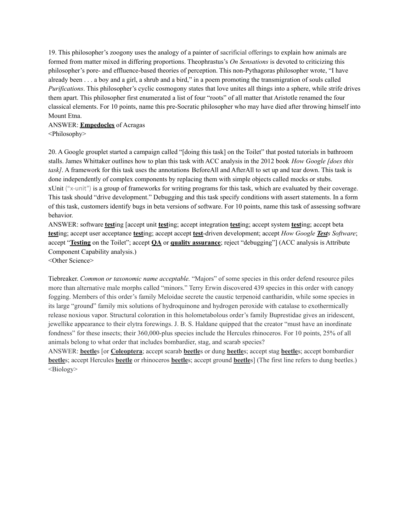19. This philosopher's zoogony uses the analogy of a painter of sacrificial offerings to explain how animals are formed from matter mixed in differing proportions. Theophrastus's *On Sensations* is devoted to criticizing this philosopher's pore- and effluence-based theories of perception. This non-Pythagoras philosopher wrote, "I have already been . . . a boy and a girl, a shrub and a bird," in a poem promoting the transmigration of souls called *Purifications*. This philosopher's cyclic cosmogony states that love unites all things into a sphere, while strife drives them apart. This philosopher first enumerated a list of four "roots" of all matter that Aristotle renamed the four classical elements. For 10 points, name this pre-Socratic philosopher who may have died after throwing himself into Mount Etna.

# ANSWER: **Empedocles** of Acragas

<Philosophy>

20. A Google grouplet started a campaign called "[doing this task] on the Toilet" that posted tutorials in bathroom stalls. James Whittaker outlines how to plan this task with ACC analysis in the 2012 book *How Google [does this task]*. A framework for this task uses the annotations BeforeAll and AfterAll to set up and tear down. This task is done independently of complex components by replacing them with simple objects called mocks or stubs. xUnit ("x-unit") is a group of frameworks for writing programs for this task, which are evaluated by their coverage. This task should "drive development." Debugging and this task specify conditions with assert statements. In a form of this task, customers identify bugs in beta versions of software. For 10 points, name this task of assessing software behavior.

ANSWER: software **test**ing [accept unit **test**ing; accept integration **test**ing; accept system **test**ing; accept beta **test**ing; accept user acceptance **test**ing; accept accept **test**-driven development; accept *How Google Tests Software*; accept "**Testing** on the Toilet"; accept **QA** or **quality assurance**; reject "debugging"] (ACC analysis is Attribute Component Capability analysis.)

<Other Science>

Tiebreaker. *Common or taxonomic name acceptable.* "Majors" of some species in this order defend resource piles more than alternative male morphs called "minors." Terry Erwin discovered 439 species in this order with canopy fogging. Members of this order's family Meloidae secrete the caustic terpenoid cantharidin, while some species in its large "ground" family mix solutions of hydroquinone and hydrogen peroxide with catalase to exothermically release noxious vapor. Structural coloration in this holometabolous order's family Buprestidae gives an iridescent, jewellike appearance to their elytra forewings. J. B. S. Haldane quipped that the creator "must have an inordinate fondness" for these insects; their 360,000-plus species include the Hercules rhinoceros. For 10 points, 25% of all animals belong to what order that includes bombardier, stag, and scarab species?

ANSWER: **beetle**s [or **Coleoptera**; accept scarab **beetle**s or dung **beetle**s; accept stag **beetle**s; accept bombardier **beetle**s; accept Hercules **beetle** or rhinoceros **beetle**s; accept ground **beetle**s] (The first line refers to dung beetles.) <Biology>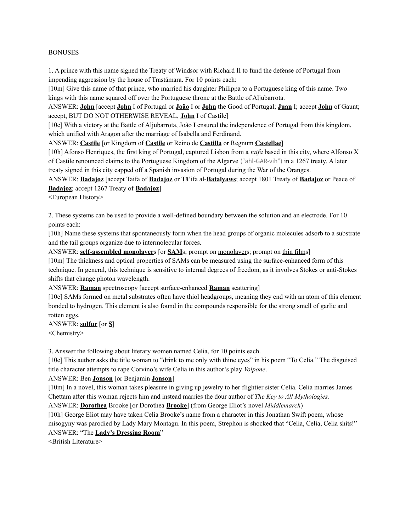#### BONUSES

1. A prince with this name signed the Treaty of Windsor with Richard II to fund the defense of Portugal from impending aggression by the house of Trastámara. For 10 points each:

[10m] Give this name of that prince, who married his daughter Philippa to a Portuguese king of this name. Two kings with this name squared off over the Portuguese throne at the Battle of Aljubarrota.

ANSWER: **John** [accept **John** I of Portugal or **João** I or **John** the Good of Portugal; **Juan** I; accept **John** of Gaunt; accept, BUT DO NOT OTHERWISE REVEAL, **John** I of Castile]

[10e] With a victory at the Battle of Aljubarrota, João I ensured the independence of Portugal from this kingdom, which unified with Aragon after the marriage of Isabella and Ferdinand.

ANSWER: **Castile** [or Kingdom of **Castile** or Reino de **Castilla** or Regnum **Castellae**]

[10h] Afonso Henriques, the first king of Portugal, captured Lisbon from a *taifa* based in this city, where Alfonso X of Castile renounced claims to the Portuguese Kingdom of the Algarve ("ahl-GAR-vih") in a 1267 treaty. A later treaty signed in this city capped off a Spanish invasion of Portugal during the War of the Oranges.

ANSWER: **Badajoz** [accept Taifa of **Badajoz** or Ṭā'ifa al-**Batalyaws**; accept 1801 Treaty of **Badajoz** or Peace of **Badajoz**; accept 1267 Treaty of **Badajoz**]

<European History>

2. These systems can be used to provide a well-defined boundary between the solution and an electrode. For 10 points each:

[10h] Name these systems that spontaneously form when the head groups of organic molecules adsorb to a substrate and the tail groups organize due to intermolecular forces.

ANSWER: **self-assembled monolayer**s [or **SAM**s; prompt on monolayers; prompt on thin films]

[10m] The thickness and optical properties of SAMs can be measured using the surface-enhanced form of this technique. In general, this technique is sensitive to internal degrees of freedom, as it involves Stokes or anti-Stokes shifts that change photon wavelength.

ANSWER: **Raman** spectroscopy [accept surface-enhanced **Raman** scattering]

[10e] SAMs formed on metal substrates often have thiol headgroups, meaning they end with an atom of this element bonded to hydrogen. This element is also found in the compounds responsible for the strong smell of garlic and rotten eggs.

ANSWER: **sulfur** [or **S**] <Chemistry>

3. Answer the following about literary women named Celia, for 10 points each.

[10e] This author asks the title woman to "drink to me only with thine eyes" in his poem "To Celia." The disguised title character attempts to rape Corvino's wife Celia in this author's play *Volpone*.

#### ANSWER: Ben **Jonson** [or Benjamin **Jonson**]

[10m] In a novel, this woman takes pleasure in giving up jewelry to her flightier sister Celia. Celia marries James Chettam after this woman rejects him and instead marries the dour author of *The Key to All Mythologies.*

ANSWER: **Dorothea** Brooke [or Dorothea **Brooke**] (from George Eliot's novel *Middlemarch*)

[10h] George Eliot may have taken Celia Brooke's name from a character in this Jonathan Swift poem, whose misogyny was parodied by Lady Mary Montagu. In this poem, Strephon is shocked that "Celia, Celia, Celia shits!" ANSWER: "The **Lady's Dressing Room**"

<British Literature>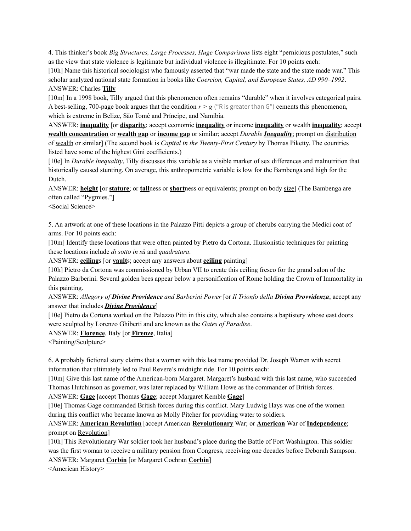4. This thinker's book *Big Structures, Large Processes, Huge Comparisons* lists eight "pernicious postulates," such as the view that state violence is legitimate but individual violence is illegitimate. For 10 points each:

[10h] Name this historical sociologist who famously asserted that "war made the state and the state made war." This scholar analyzed national state formation in books like *Coercion, Capital, and European States, AD 990–1992*. ANSWER: Charles **Tilly**

[10m] In a 1998 book, Tilly argued that this phenomenon often remains "durable" when it involves categorical pairs. A best-selling, 700-page book argues that the condition  $r > g$  ("R is greater than G") cements this phenomenon, which is extreme in Belize, São Tomé and Príncipe, and Namibia.

ANSWER: **inequality** [or **disparity**; accept economic **inequality** or income **inequality** or wealth **inequality**; accept **wealth concentration** or **wealth gap** or **income gap** or similar; accept *Durable Inequality*; prompt on distribution of wealth or similar] (The second book is *Capital in the Twenty-First Century* by Thomas Piketty. The countries listed have some of the highest Gini coefficients.)

[10e] In *Durable Inequality*, Tilly discusses this variable as a visible marker of sex differences and malnutrition that historically caused stunting. On average, this anthropometric variable is low for the Bambenga and high for the Dutch.

ANSWER: **height** [or **stature**; or **tall**ness or **short**ness or equivalents; prompt on body size] (The Bambenga are often called "Pygmies."]

<Social Science>

5. An artwork at one of these locations in the Palazzo Pitti depicts a group of cherubs carrying the Medici coat of arms. For 10 points each:

[10m] Identify these locations that were often painted by Pietro da Cortona. Illusionistic techniques for painting these locations include *di sotto in sù* and *quadratura*.

ANSWER: **ceiling**s [or **vault**s; accept any answers about **ceiling** painting]

[10h] Pietro da Cortona was commissioned by Urban VII to create this ceiling fresco for the grand salon of the Palazzo Barberini. Several golden bees appear below a personification of Rome holding the Crown of Immortality in this painting.

ANSWER: *Allegory of Divine Providence and Barberini Power* [or *Il Trionfo della Divina Provvidenza*; accept any answer that includes *Divine Providence*]

[10e] Pietro da Cortona worked on the Palazzo Pitti in this city, which also contains a baptistery whose east doors were sculpted by Lorenzo Ghiberti and are known as the *Gates of Paradise*.

ANSWER: **Florence**, Italy [or **Firenze**, Italia]

<Painting/Sculpture>

6. A probably fictional story claims that a woman with this last name provided Dr. Joseph Warren with secret information that ultimately led to Paul Revere's midnight ride. For 10 points each:

[10m] Give this last name of the American-born Margaret. Margaret's husband with this last name, who succeeded Thomas Hutchinson as governor, was later replaced by William Howe as the commander of British forces.

ANSWER: **Gage** [accept Thomas **Gage**; accept Margaret Kemble **Gage**]

[10e] Thomas Gage commanded British forces during this conflict. Mary Ludwig Hays was one of the women during this conflict who became known as Molly Pitcher for providing water to soldiers.

ANSWER: **American Revolution** [accept American **Revolutionary** War; or **American** War of **Independence**; prompt on Revolution]

[10h] This Revolutionary War soldier took her husband's place during the Battle of Fort Washington. This soldier was the first woman to receive a military pension from Congress, receiving one decades before Deborah Sampson.

ANSWER: Margaret **Corbin** [or Margaret Cochran **Corbin**]

<American History>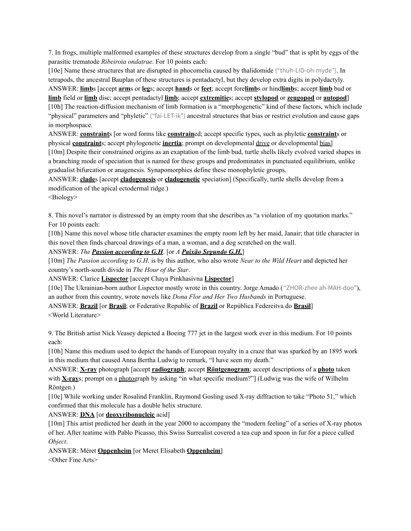7. In frogs, multiple malformed examples of these structures develop from a single "bud" that is split by eggs of the parasitic trematode *Ribeiroia ondatrae*. For 10 points each:

[10e] Name these structures that are disrupted in phocomelia caused by thalidomide ("thuh-LID-oh-myde"). In tetrapods, the ancestral Bauplan of these structures is pentadactyl, but they develop extra digits in polydactyly. ANSWER: **limb**s [accept **arm**s or **leg**s; accept **hand**s or **feet**; accept fore**limb**s or hind**limb**s; accept **limb** bud or **limb** field or **limb** disc; accept pentadactyl **limb**; accept **extremitie**s; accept **stylopod** or **zeugopod** or **autopod**] [10h] The reaction-diffusion mechanism of limb formation is a "morphogenetic" kind of these factors, which include "physical" parameters and "phyletic" ("fai-LET-ik") ancestral structures that bias or restrict evolution and cause gaps in morphospace.

ANSWER: **constraint**s [or word forms like **constrain**ed; accept specific types, such as phyletic **constraint**s or physical **constraint**s; accept phylogenetic **inertia**; prompt on developmental drive or developmental bias] [10m] Despite their constrained origins as an exaptation of the limb bud, turtle shells likely evolved varied shapes in a branching mode of speciation that is named for these groups and predominates in punctuated equilibrium, unlike gradualist bifurcation or anagenesis. Synapomorphies define these monophyletic groups.

ANSWER: **clade**s [accept **cladogenesis** or **cladogenetic** speciation] (Specifically, turtle shells develop from a modification of the apical ectodermal ridge.)

<Biology>

8. This novel's narrator is distressed by an empty room that she describes as "a violation of my quotation marks." For 10 points each:

[10h] Name this novel whose title character examines the empty room left by her maid, Janair; that title character in this novel then finds charcoal drawings of a man, a woman, and a dog scratched on the wall.

ANSWER: *The Passion according to G.H*. [or *A Paixão Segundo G.H.*]

[10m] *The Passion according to G.H.* is by this author, who also wrote *Near to the Wild Heart* and depicted her country's north-south divide in *The Hour of the Star*.

ANSWER: Clarice **Lispector** [accept Chaya Pinkhasivna **Lispector**]

[10e] The Ukrainian-born author Lispector mostly wrote in this country. Jorge Amado ("ZHOR-zhee ah-MAH-doo"), an author from this country, wrote novels like *Dona Flor and Her Two Husbands* in Portuguese.

ANSWER: **Brazil** [or **Brasil**; or Federative Republic of **Brazil** or República Federeitva do **Brasil**] <World Literature>

9. The British artist Nick Veasey depicted a Boeing 777 jet in the largest work ever in this medium. For 10 points each:

[10h] Name this medium used to depict the hands of European royalty in a craze that was sparked by an 1895 work in this medium that caused Anna Bertha Ludwig to remark, "I have seen my death."

ANSWER: **X-ray** photograph [accept **radiograph**; accept **Röntgenogram**; accept descriptions of a **photo** taken with **X-ray**s; prompt on a photograph by asking "in what specific medium?"] (Ludwig was the wife of Wilhelm Röntgen.)

[10e] While working under Rosalind Franklin, Raymond Gosling used X-ray diffraction to take "Photo 51," which confirmed that this molecule has a double helix structure.

ANSWER: **DNA** [or **deoxyribonucleic** acid]

[10m] This artist predicted her death in the year 2000 to accompany the "modern feeling" of a series of X-ray photos of her. After teatime with Pablo Picasso, this Swiss Surrealist covered a tea cup and spoon in fur for a piece called *Object*.

ANSWER: Méret **Oppenheim** [or Meret Elisabeth **Oppenheim**]

<Other Fine Arts>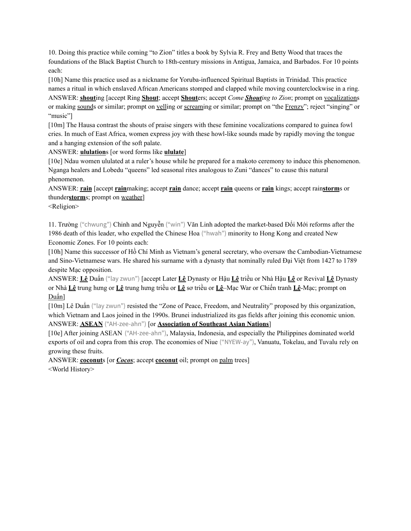10. Doing this practice while coming "to Zion" titles a book by Sylvia R. Frey and Betty Wood that traces the foundations of the Black Baptist Church to 18th-century missions in Antigua, Jamaica, and Barbados. For 10 points each:

[10h] Name this practice used as a nickname for Yoruba-influenced Spiritual Baptists in Trinidad. This practice names a ritual in which enslaved African Americans stomped and clapped while moving counterclockwise in a ring. ANSWER: **shout**ing [accept Ring **Shout**; accept **Shout**ers; accept *Come Shouting to Zion*; prompt on vocalizations or making sounds or similar; prompt on yelling or screaming or similar; prompt on "the Frenzy"; reject "singing" or "music"]

[10m] The Hausa contrast the shouts of praise singers with these feminine vocalizations compared to guinea fowl cries. In much of East Africa, women express joy with these howl-like sounds made by rapidly moving the tongue and a hanging extension of the soft palate.

ANSWER: **ululation**s [or word forms like **ululate**]

[10e] Ndau women ululated at a ruler's house while he prepared for a makoto ceremony to induce this phenomenon. Nganga healers and Lobedu "queens" led seasonal rites analogous to Zuni "dances" to cause this natural phenomenon.

ANSWER: **rain** [accept **rain**making; accept **rain** dance; accept **rain** queens or **rain** kings; accept rain**storm**s or thunder**storm**s; prompt on weather]

<Religion>

11. Trường ("chwung") Chinh and Nguyễn ("win") Văn Linh adopted the market-based Đổi Mới reforms after the 1986 death of this leader, who expelled the Chinese Hoa ("hwah") minority to Hong Kong and created New Economic Zones. For 10 points each:

[10h] Name this successor of Hồ Chí Minh as Vietnam's general secretary, who oversaw the Cambodian-Vietnamese and Sino-Vietnamese wars. He shared his surname with a dynasty that nominally ruled Đại Việt from 1427 to 1789 despite Mạc opposition.

ANSWER: **Lê** Duẩn ("lay zwun") [accept Later **Lê** Dynasty or Hậu **Lê** triều or Nhà Hậu **Lê** or Revival **Lê** Dynasty or Nhà **Lê** trung hưng or **Lê** trung hưng triều or **Lê** sơ triều or **Lê**–Mạc War or Chiến tranh **Lê**-Mạc; prompt on Duẩn]

[10m] Lê Duẩn ("lay zwun") resisted the "Zone of Peace, Freedom, and Neutrality" proposed by this organization, which Vietnam and Laos joined in the 1990s. Brunei industrialized its gas fields after joining this economic union. ANSWER: **ASEAN** ("AH-zee-ahn") [or **Association of Southeast Asian Nations**]

[10e] After joining ASEAN ("AH-zee-ahn"), Malaysia, Indonesia, and especially the Philippines dominated world exports of oil and copra from this crop. The economies of Niue ("NYEW-ay"), Vanuatu, Tokelau, and Tuvalu rely on growing these fruits.

ANSWER: **coconut**s [or *Cocos*; accept **coconut** oil; prompt on palm trees] <World History>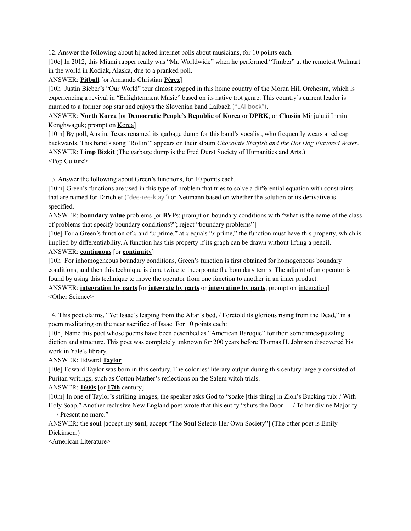12. Answer the following about hijacked internet polls about musicians, for 10 points each.

[10e] In 2012, this Miami rapper really was "Mr. Worldwide" when he performed "Timber" at the remotest Walmart in the world in Kodiak, Alaska, due to a pranked poll.

ANSWER: **Pitbull** [or Armando Christian **Pérez**]

[10h] Justin Bieber's "Our World" tour almost stopped in this home country of the Moran Hill Orchestra, which is experiencing a revival in "Enlightenment Music" based on its native trot genre. This country's current leader is married to a former pop star and enjoys the Slovenian band Laibach ("LAI-bock").

ANSWER: **North Korea** [or **Democratic People's Republic of Korea** or **DPRK**; or **Chosŏn** Minjujuŭi Inmin Konghwaguk; prompt on Korea]

[10m] By poll, Austin, Texas renamed its garbage dump for this band's vocalist, who frequently wears a red cap backwards. This band's song "Rollin'" appears on their album *Chocolate Starfish and the Hot Dog Flavored Water*. ANSWER: **Limp Bizkit** (The garbage dump is the Fred Durst Society of Humanities and Arts.) <Pop Culture>

13. Answer the following about Green's functions, for 10 points each.

[10m] Green's functions are used in this type of problem that tries to solve a differential equation with constraints that are named for Dirichlet ("dee-ree-klay") or Neumann based on whether the solution or its derivative is specified.

ANSWER: **boundary value** problems [or **BV**Ps; prompt on boundary conditions with "what is the name of the class of problems that specify boundary conditions?"; reject "boundary problems"]

[10e] For a Green's function of *x* and "*x* prime," at *x* equals "*x* prime," the function must have this property, which is implied by differentiability. A function has this property if its graph can be drawn without lifting a pencil. ANSWER: **continuous** [or **continuity**]

[10h] For inhomogeneous boundary conditions, Green's function is first obtained for homogeneous boundary conditions, and then this technique is done twice to incorporate the boundary terms. The adjoint of an operator is found by using this technique to move the operator from one function to another in an inner product.

ANSWER: **integration by parts** [or **integrate by parts** or **integrating by parts**; prompt on integration] <Other Science>

14. This poet claims, "Yet Isaac's leaping from the Altar's bed, / Foretold its glorious rising from the Dead," in a poem meditating on the near sacrifice of Isaac. For 10 points each:

[10h] Name this poet whose poems have been described as "American Baroque" for their sometimes-puzzling diction and structure. This poet was completely unknown for 200 years before Thomas H. Johnson discovered his work in Yale's library.

# ANSWER: Edward **Taylor**

[10e] Edward Taylor was born in this century. The colonies' literary output during this century largely consisted of Puritan writings, such as Cotton Mather's reflections on the Salem witch trials.

# ANSWER: **1600s** [or **17th** century]

[10m] In one of Taylor's striking images, the speaker asks God to "soake [this thing] in Zion's Bucking tub: / With Holy Soap." Another reclusive New England poet wrote that this entity "shuts the Door — / To her divine Majority — / Present no more."

ANSWER: the **soul** [accept my **soul**; accept "The **Soul** Selects Her Own Society"] (The other poet is Emily Dickinson.)

<American Literature>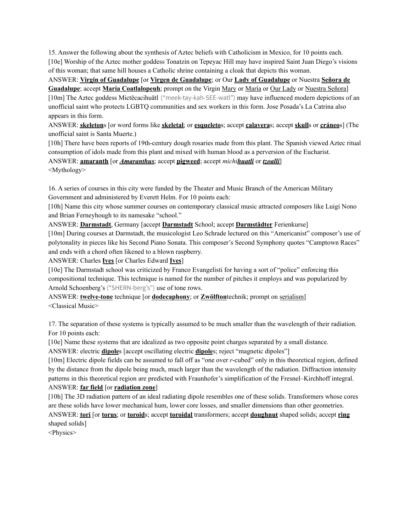15. Answer the following about the synthesis of Aztec beliefs with Catholicism in Mexico, for 10 points each. [10e] Worship of the Aztec mother goddess Tonatzin on Tepeyac Hill may have inspired Saint Juan Diego's visions of this woman; that same hill houses a Catholic shrine containing a cloak that depicts this woman.

# ANSWER: **Virgin of Guadalupe** [or **Virgen de Guadalupe**; or Our **Lady of Guadalupe** or Nuestra **Señora de Guadalupe**; accept **María Coatlalopeuh**; prompt on the Virgin Mary or María or Our Lady or Nuestra Señora] [10m] The Aztec goddess Mictēcacihuātl ("meek-tay-kah-SEE-watl") may have influenced modern depictions of an unofficial saint who protects LGBTQ communities and sex workers in this form. Jose Posada's La Catrina also appears in this form.

ANSWER: **skeleton**s [or word forms like **skeletal**; or **esqueleto**s; accept **calavera**s; accept **skull**s or **cráneo**s] (The unofficial saint is Santa Muerte.)

[10h] There have been reports of 19th-century dough rosaries made from this plant. The Spanish viewed Aztec ritual consumption of idols made from this plant and mixed with human blood as a perversion of the Eucharist.

ANSWER: **amaranth** [or *Amaranthus*; accept **pigweed**; accept *michihuatli* or *tzoalli*] <Mythology>

16. A series of courses in this city were funded by the Theater and Music Branch of the American Military Government and administered by Everett Helm. For 10 points each:

[10h] Name this city whose summer courses on contemporary classical music attracted composers like Luigi Nono and Brian Ferneyhough to its namesake "school."

ANSWER: **Darmstadt**, Germany [accept **Darmstadt** School; accept **Darmstädter** Ferienkurse]

[10m] During courses at Darmstadt, the musicologist Leo Schrade lectured on this "Americanist" composer's use of polytonality in pieces like his Second Piano Sonata. This composer's Second Symphony quotes "Camptown Races" and ends with a chord often likened to a blown raspberry.

ANSWER: Charles **Ives** [or Charles Edward **Ives**]

[10e] The Darmstadt school was criticized by Franco Evangelisti for having a sort of "police" enforcing this compositional technique. This technique is named for the number of pitches it employs and was popularized by Arnold Schoenberg's ("SHERN-berg's") use of tone rows.

ANSWER: **twelve-tone** technique [or **dodecaphony**; or **Zwölfton**technik; prompt on serialism] <Classical Music>

17. The separation of these systems is typically assumed to be much smaller than the wavelength of their radiation. For 10 points each:

[10e] Name these systems that are idealized as two opposite point charges separated by a small distance.

ANSWER: electric **dipole**s [accept oscillating electric **dipole**s; reject "magnetic dipoles"]

[10m] Electric dipole fields can be assumed to fall off as "one over *r*-cubed" only in this theoretical region, defined by the distance from the dipole being much, much larger than the wavelength of the radiation. Diffraction intensity patterns in this theoretical region are predicted with Fraunhofer's simplification of the Fresnel–Kirchhoff integral. ANSWER: **far field** [or **radiation zone**]

[10h] The 3D radiation pattern of an ideal radiating dipole resembles one of these solids. Transformers whose cores are these solids have lower mechanical hum, lower core losses, and smaller dimensions than other geometries.

ANSWER: **tori** [or **torus**; or **toroid**s; accept **toroidal** transformers; accept **doughnut** shaped solids; accept **ring** shaped solids]

<Physics>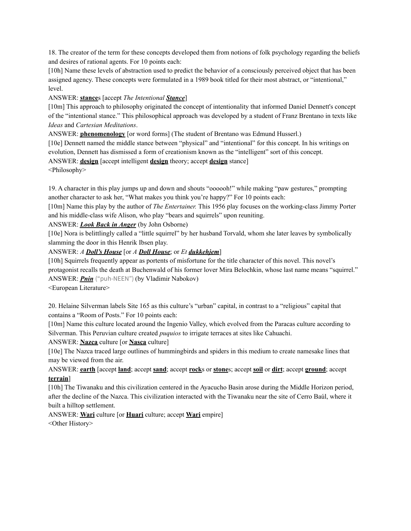18. The creator of the term for these concepts developed them from notions of folk psychology regarding the beliefs and desires of rational agents. For 10 points each:

[10h] Name these levels of abstraction used to predict the behavior of a consciously perceived object that has been assigned agency. These concepts were formulated in a 1989 book titled for their most abstract, or "intentional," level.

ANSWER: **stance**s [accept *The Intentional Stance*]

[10m] This approach to philosophy originated the concept of intentionality that informed Daniel Dennett's concept of the "intentional stance." This philosophical approach was developed by a student of Franz Brentano in texts like *Ideas* and *Cartesian Meditations*.

ANSWER: **phenomenology** [or word forms] (The student of Brentano was Edmund Husserl.)

[10e] Dennett named the middle stance between "physical" and "intentional" for this concept. In his writings on evolution, Dennett has dismissed a form of creationism known as the "intelligent" sort of this concept. ANSWER: **design** [accept intelligent **design** theory; accept **design** stance] <Philosophy>

19. A character in this play jumps up and down and shouts "oooooh!" while making "paw gestures," prompting another character to ask her, "What makes you think you're happy?" For 10 points each:

[10m] Name this play by the author of *The Entertainer.* This 1956 play focuses on the working-class Jimmy Porter and his middle-class wife Alison, who play "bears and squirrels" upon reuniting.

## ANSWER: *Look Back in Anger* (by John Osborne)

[10e] Nora is belittlingly called a "little squirrel" by her husband Torvald, whom she later leaves by symbolically slamming the door in this Henrik Ibsen play.

## ANSWER: *A Doll's House* [or *A Doll House*; or *Et dukkehjem*]

[10h] Squirrels frequently appear as portents of misfortune for the title character of this novel. This novel's protagonist recalls the death at Buchenwald of his former lover Mira Belochkin, whose last name means "squirrel." ANSWER: *Pnin* ("puh-NEEN") (by Vladimir Nabokov)

<European Literature>

20. Helaine Silverman labels Site 165 as this culture's "urban" capital, in contrast to a "religious" capital that contains a "Room of Posts." For 10 points each:

[10m] Name this culture located around the Ingenio Valley, which evolved from the Paracas culture according to Silverman. This Peruvian culture created *puquios* to irrigate terraces at sites like Cahuachi.

# ANSWER: **Nazca** culture [or **Nasca** culture]

[10e] The Nazca traced large outlines of hummingbirds and spiders in this medium to create namesake lines that may be viewed from the air.

ANSWER: **earth** [accept **land**; accept **sand**; accept **rock**s or **stone**s; accept **soil** or **dirt**; accept **ground**; accept **terrain**]

[10h] The Tiwanaku and this civilization centered in the Ayacucho Basin arose during the Middle Horizon period, after the decline of the Nazca. This civilization interacted with the Tiwanaku near the site of Cerro Baúl, where it built a hilltop settlement.

ANSWER: **Wari** culture [or **Huari** culture; accept **Wari** empire] <Other History>